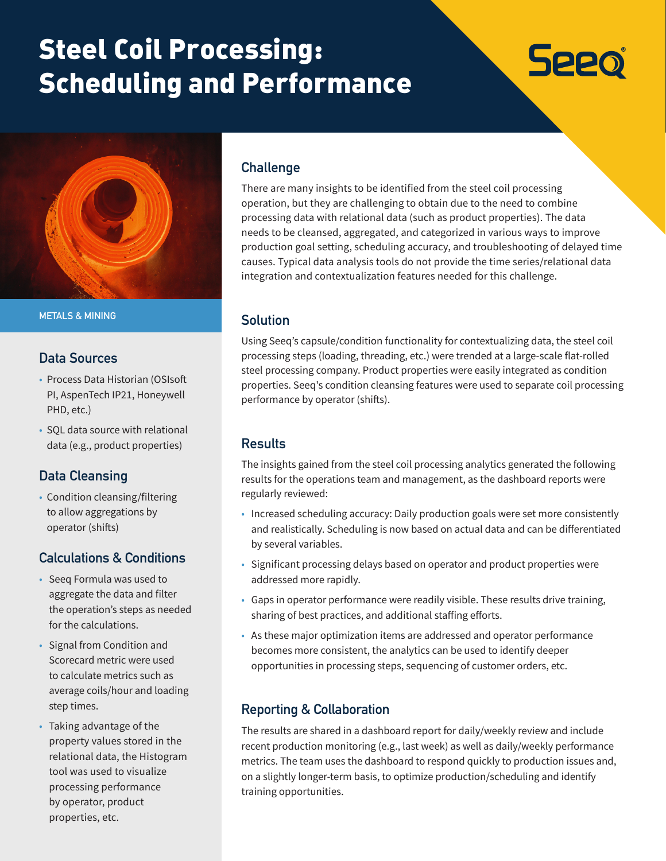# Steel Coil Processing: Scheduling and Performance





**METALS & MINING**

#### **Data Sources**

- Process Data Historian (OSIsoft PI, AspenTech IP21, Honeywell PHD, etc.)
- SQL data source with relational data (e.g., product properties)

## **Data Cleansing**

• Condition cleansing/filtering to allow aggregations by operator (shifts)

## **Calculations & Conditions**

- Seeq Formula was used to aggregate the data and filter the operation's steps as needed for the calculations.
- Signal from Condition and Scorecard metric were used to calculate metrics such as average coils/hour and loading step times.
- Taking advantage of the property values stored in the relational data, the Histogram tool was used to visualize processing performance by operator, product properties, etc.

## **Challenge**

There are many insights to be identified from the steel coil processing operation, but they are challenging to obtain due to the need to combine processing data with relational data (such as product properties). The data needs to be cleansed, aggregated, and categorized in various ways to improve production goal setting, scheduling accuracy, and troubleshooting of delayed time causes. Typical data analysis tools do not provide the time series/relational data integration and contextualization features needed for this challenge.

#### **Solution**

Using Seeq's capsule/condition functionality for contextualizing data, the steel coil processing steps (loading, threading, etc.) were trended at a large-scale flat-rolled steel processing company. Product properties were easily integrated as condition properties. Seeq's condition cleansing features were used to separate coil processing performance by operator (shifts).

#### **Results**

The insights gained from the steel coil processing analytics generated the following results for the operations team and management, as the dashboard reports were regularly reviewed:

- Increased scheduling accuracy: Daily production goals were set more consistently and realistically. Scheduling is now based on actual data and can be differentiated by several variables.
- Significant processing delays based on operator and product properties were addressed more rapidly.
- Gaps in operator performance were readily visible. These results drive training, sharing of best practices, and additional staffing efforts.
- As these major optimization items are addressed and operator performance becomes more consistent, the analytics can be used to identify deeper opportunities in processing steps, sequencing of customer orders, etc.

## **Reporting & Collaboration**

The results are shared in a dashboard report for daily/weekly review and include recent production monitoring (e.g., last week) as well as daily/weekly performance metrics. The team uses the dashboard to respond quickly to production issues and, on a slightly longer-term basis, to optimize production/scheduling and identify training opportunities.